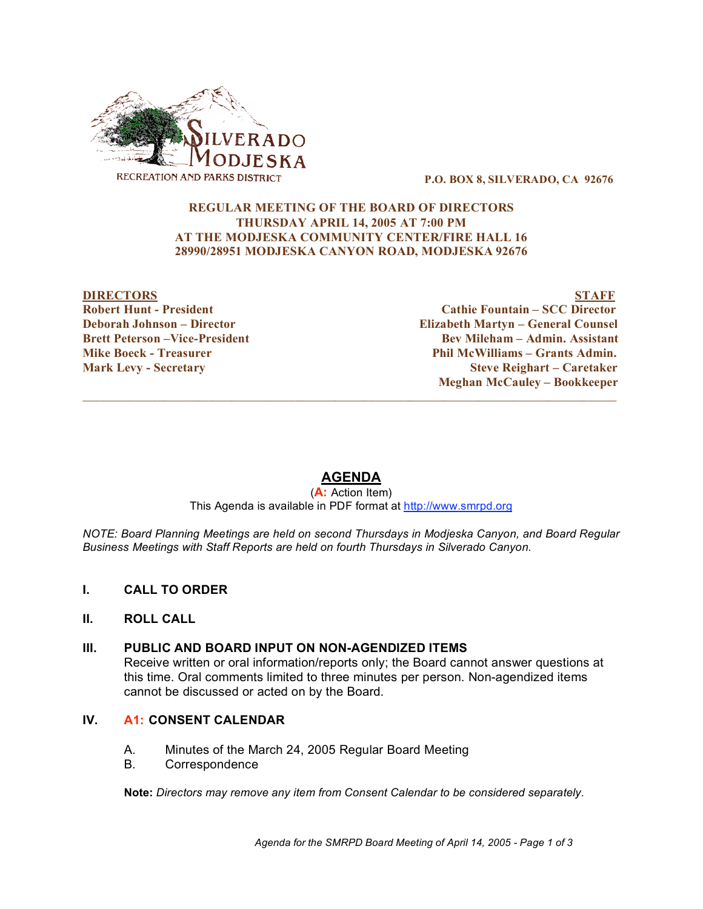

**P.O. BOX 8, SILVERADO, CA 92676**

### **REGULAR MEETING OF THE BOARD OF DIRECTORS THURSDAY APRIL 14, 2005 AT 7:00 PM AT THE MODJESKA COMMUNITY CENTER/FIRE HALL 16 28990/28951 MODJESKA CANYON ROAD, MODJESKA 92676**

**DIRECTORS STAFF Robert Hunt - President Cathie Fountain – SCC Director Deborah Johnson – Director Elizabeth Martyn – General Counsel Brett Peterson –Vice-President Bev Mileham – Admin. Assistant Mike Boeck - Treasurer Phil McWilliams – Grants Admin. Mark Levy - Secretary Steve Reighart – Caretaker Meghan McCauley – Bookkeeper**

# **AGENDA**

 $\overline{\phantom{a}}$  ,  $\overline{\phantom{a}}$  ,  $\overline{\phantom{a}}$  ,  $\overline{\phantom{a}}$  ,  $\overline{\phantom{a}}$  ,  $\overline{\phantom{a}}$  ,  $\overline{\phantom{a}}$  ,  $\overline{\phantom{a}}$  ,  $\overline{\phantom{a}}$  ,  $\overline{\phantom{a}}$  ,  $\overline{\phantom{a}}$  ,  $\overline{\phantom{a}}$  ,  $\overline{\phantom{a}}$  ,  $\overline{\phantom{a}}$  ,  $\overline{\phantom{a}}$  ,  $\overline{\phantom{a}}$ 

(**A:** Action Item) This Agenda is available in PDF format at http://www.smrpd.org

*NOTE: Board Planning Meetings are held on second Thursdays in Modjeska Canyon, and Board Regular Business Meetings with Staff Reports are held on fourth Thursdays in Silverado Canyon.*

**I. CALL TO ORDER**

# **II. ROLL CALL**

**III. PUBLIC AND BOARD INPUT ON NON-AGENDIZED ITEMS**

Receive written or oral information/reports only; the Board cannot answer questions at this time. Oral comments limited to three minutes per person. Non-agendized items cannot be discussed or acted on by the Board.

# **IV. A1: CONSENT CALENDAR**

- A. Minutes of the March 24, 2005 Regular Board Meeting
- B. Correspondence

**Note:** *Directors may remove any item from Consent Calendar to be considered separately.*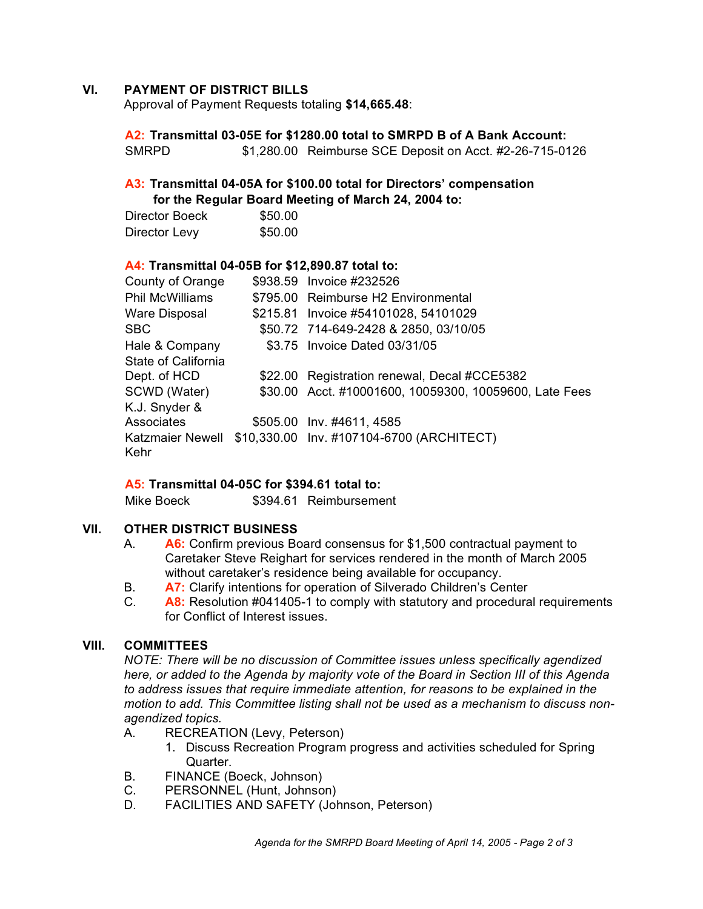### **VI. PAYMENT OF DISTRICT BILLS**

Approval of Payment Requests totaling **\$14,665.48**:

**A2: Transmittal 03-05E for \$1280.00 total to SMRPD B of A Bank Account:** SMRPD \$1,280.00 Reimburse SCE Deposit on Acct. #2-26-715-0126

## **A3: Transmittal 04-05A for \$100.00 total for Directors' compensation for the Regular Board Meeting of March 24, 2004 to:**

| Director Boeck | \$50.00 |
|----------------|---------|
| Director Levy  | \$50.00 |

#### **A4: Transmittal 04-05B for \$12,890.87 total to:**

| County of Orange         | \$938.59 Invoice #232526                               |
|--------------------------|--------------------------------------------------------|
| <b>Phil McWilliams</b>   | \$795.00 Reimburse H2 Environmental                    |
| Ware Disposal            | \$215.81 Invoice #54101028, 54101029                   |
| SBC.                     | \$50.72 714-649-2428 & 2850, 03/10/05                  |
| Hale & Company           | \$3.75 Invoice Dated 03/31/05                          |
| State of California      |                                                        |
| Dept. of HCD             | \$22.00 Registration renewal, Decal #CCE5382           |
| SCWD (Water)             | \$30.00 Acct. #10001600, 10059300, 10059600, Late Fees |
| K.J. Snyder &            |                                                        |
| <b>Associates</b>        | \$505.00 Inv. #4611, 4585                              |
| Katzmaier Newell<br>Kehr | \$10,330.00 Inv. #107104-6700 (ARCHITECT)              |

#### **A5: Transmittal 04-05C for \$394.61 total to:**

Mike Boeck  $$394.61$  Reimbursement

#### **VII. OTHER DISTRICT BUSINESS**

- A. **A6:** Confirm previous Board consensus for \$1,500 contractual payment to Caretaker Steve Reighart for services rendered in the month of March 2005 without caretaker's residence being available for occupancy.
- B. **A7:** Clarify intentions for operation of Silverado Children's Center
- C. **A8:** Resolution #041405-1 to comply with statutory and procedural requirements for Conflict of Interest issues.

#### **VIII. COMMITTEES**

*NOTE: There will be no discussion of Committee issues unless specifically agendized here, or added to the Agenda by majority vote of the Board in Section III of this Agenda to address issues that require immediate attention, for reasons to be explained in the motion to add. This Committee listing shall not be used as a mechanism to discuss nonagendized topics.*

- A. RECREATION (Levy, Peterson)
	- 1. Discuss Recreation Program progress and activities scheduled for Spring Quarter.
- B. FINANCE (Boeck, Johnson)
- C. PERSONNEL (Hunt, Johnson)
- D. FACILITIES AND SAFETY (Johnson, Peterson)